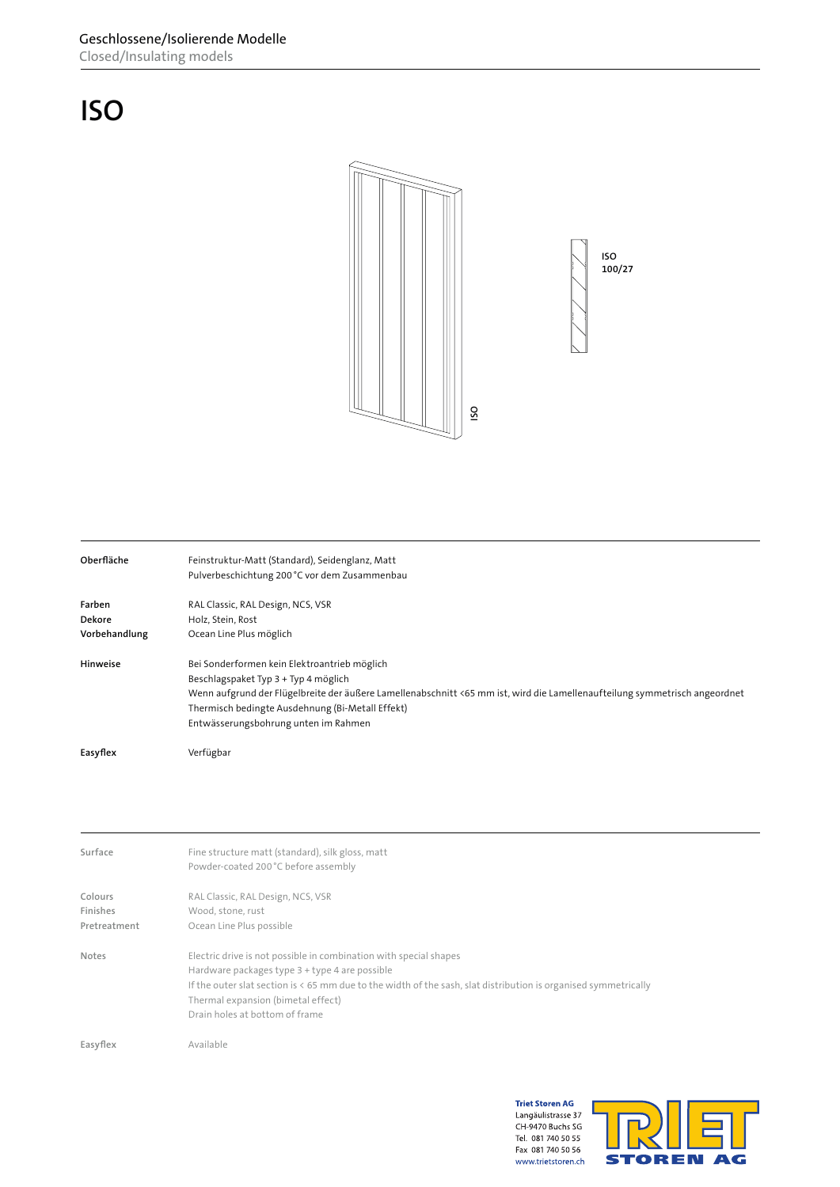## **ISO**



| Closed/Insulating models            | Geschlossene/Isolierende Modelle                                                                                                                                                                                                                                                                               |
|-------------------------------------|----------------------------------------------------------------------------------------------------------------------------------------------------------------------------------------------------------------------------------------------------------------------------------------------------------------|
| <b>ISO</b>                          |                                                                                                                                                                                                                                                                                                                |
|                                     | <b>ISO</b><br>100/27<br>SO                                                                                                                                                                                                                                                                                     |
| Oberfläche                          | Feinstruktur-Matt (Standard), Seidenglanz, Matt<br>Pulverbeschichtung 200°C vor dem Zusammenbau                                                                                                                                                                                                                |
| Farben<br>Dekore<br>Vorbehandlung   | RAL Classic, RAL Design, NCS, VSR<br>Holz, Stein, Rost<br>Ocean Line Plus möglich                                                                                                                                                                                                                              |
| Hinweise                            | Bei Sonderformen kein Elektroantrieb möglich<br>Beschlagspaket Typ 3 + Typ 4 möglich<br>Wenn aufgrund der Flügelbreite der äußere Lamellenabschnitt <65 mm ist, wird die Lamellenaufteilung symmetrisch angeordnet<br>Thermisch bedingte Ausdehnung (Bi-Metall Effekt)<br>Entwässerungsbohrung unten im Rahmen |
| Easyflex                            | Verfügbar                                                                                                                                                                                                                                                                                                      |
|                                     |                                                                                                                                                                                                                                                                                                                |
| Surface                             | Fine structure matt (standard), silk gloss, matt<br>Powder-coated 200°C before assembly                                                                                                                                                                                                                        |
| Colours<br>Finishes<br>Pretreatment | RAL Classic, RAL Design, NCS, VSR<br>Wood, stone, rust<br>Ocean Line Plus possible                                                                                                                                                                                                                             |
| Notes                               | Electric drive is not possible in combination with special shapes<br>Hardware packages type 3 + type 4 are possible<br>If the outer slat section is < 65 mm due to the width of the sash, slat distribution is organised symmetrically<br>Thermal expansion (bimetal effect)<br>Drain holes at bottom of frame |
| Easyflex                            | Available                                                                                                                                                                                                                                                                                                      |
|                                     | <b>Triet Storen AG</b><br>Langäulistrasse 37<br>E<br>CH-9470 Buchs SG<br>Tel. 081 740 50 55<br>$F_{211}$ 001 740 FO FC                                                                                                                                                                                         |

| Surface      | Fine structure matt (standard), silk gloss, matt                                                                |
|--------------|-----------------------------------------------------------------------------------------------------------------|
|              | Powder-coated 200 °C before assembly                                                                            |
| Colours      | RAL Classic, RAL Design, NCS, VSR                                                                               |
| Finishes     | Wood, stone, rust                                                                                               |
| Pretreatment | Ocean Line Plus possible                                                                                        |
| Notes        | Electric drive is not possible in combination with special shapes                                               |
|              | Hardware packages type 3 + type 4 are possible                                                                  |
|              | If the outer slat section is < 65 mm due to the width of the sash, slat distribution is organised symmetrically |
|              | Thermal expansion (bimetal effect)                                                                              |
|              | Drain holes at bottom of frame                                                                                  |
| Easyflex     | Available                                                                                                       |
|              |                                                                                                                 |